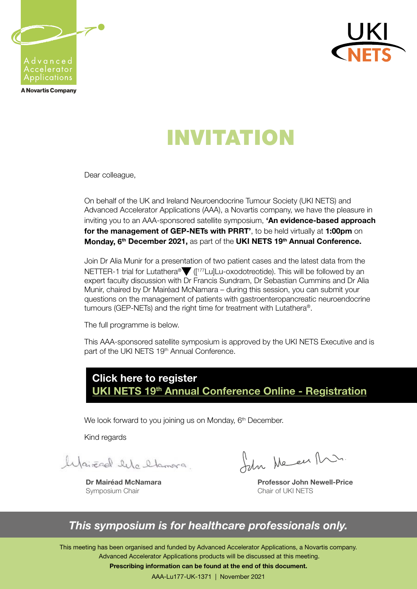

**A Novartis Company** 



# INVITATION

Dear colleague,

On behalf of the UK and Ireland Neuroendocrine Tumour Society (UKI NETS) and Advanced Accelerator Applications (AAA), a Novartis company, we have the pleasure in inviting you to an AAA-sponsored satellite symposium, 'An evidence-based approach for the management of GEP-NETs with PRRT', to be held virtually at 1:00pm on Monday, 6<sup>th</sup> December 2021, as part of the UKI NETS 19<sup>th</sup> Annual Conference.

Join Dr Alia Munir for a presentation of two patient cases and the latest data from the NETTER-1 trial for Lutathera® ([<sup>177</sup>Lu]Lu-oxodotreotide). This will be followed by an expert faculty discussion with Dr Francis Sundram, Dr Sebastian Cummins and Dr Alia Munir, chaired by Dr Mairéad McNamara – during this session, you can submit your questions on the management of patients with gastroenteropancreatic neuroendocrine tumours (GEP-NETs) and the right time for treatment with Lutathera®.

The full programme is below.

This AAA-sponsored satellite symposium is approved by the UKI NETS Executive and is part of the UKI NETS 19<sup>th</sup> Annual Conference.

### Click here to register UKI NETS 19<sup>th</sup> Annual Conference Online - Registration

We look forward to you joining us on Monday, 6<sup>th</sup> December.

Kind regards

lyairead life flamora

Dr Mairéad McNamara Symposium Chair

John Me en Mr.

Professor John Newell-Price Chair of UKI NETS

### *This symposium is for healthcare professionals only.*

This meeting has been organised and funded by Advanced Accelerator Applications, a Novartis company. Advanced Accelerator Applications products will be discussed at this meeting.

Prescribing information can be found at the end of this document.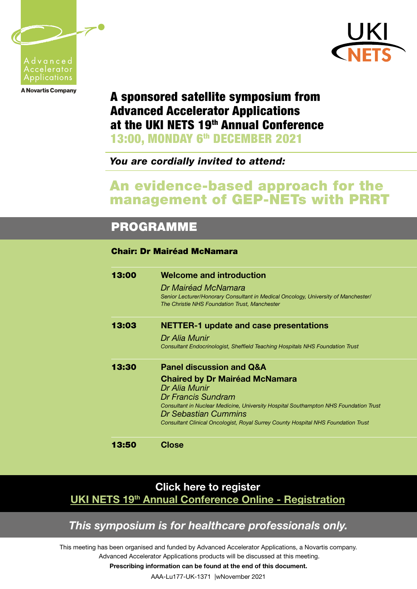





# A sponsored satellite symposium from Advanced Accelerator Applications at the UKI NETS 19<sup>th</sup> Annual Conference

13:00, MONDAY 6<sup>th</sup> DECEMBER 2021

*You are cordially invited to attend:*

### An evidence-based approach for the management of GEP-NETs with PRRT

## PROGRAMME

ł

#### Chair: Dr Mairéad McNamara

| 13:00 | <b>Welcome and introduction</b>                                                      |
|-------|--------------------------------------------------------------------------------------|
|       | Dr Mairéad McNamara                                                                  |
|       | Senior Lecturer/Honorary Consultant in Medical Oncology, University of Manchester/   |
|       | The Christie NHS Foundation Trust, Manchester                                        |
| 13:03 | <b>NETTER-1 update and case presentations</b>                                        |
|       | Dr Alia Munir                                                                        |
|       | Consultant Endocrinologist, Sheffield Teaching Hospitals NHS Foundation Trust        |
| 13:30 | <b>Panel discussion and Q&amp;A</b>                                                  |
|       | <b>Chaired by Dr Mairéad McNamara</b>                                                |
|       | Dr Alia Munir                                                                        |
|       | Dr Francis Sundram                                                                   |
|       | Consultant in Nuclear Medicine, University Hospital Southampton NHS Foundation Trust |
|       | Dr Sebastian Cummins                                                                 |
|       | Consultant Clinical Oncologist, Royal Surrey County Hospital NHS Foundation Trust    |
|       | Close                                                                                |

### Click here to register UKI NETS 19<sup>th</sup> Annual Conference Online - Registration

### *This symposium is for healthcare professionals only.*

This meeting has been organised and funded by Advanced Accelerator Applications, a Novartis company. Advanced Accelerator Applications products will be discussed at this meeting.

Prescribing information can be found at the end of this document.

AAA-Lu177-UK-1371 |wNovember 2021